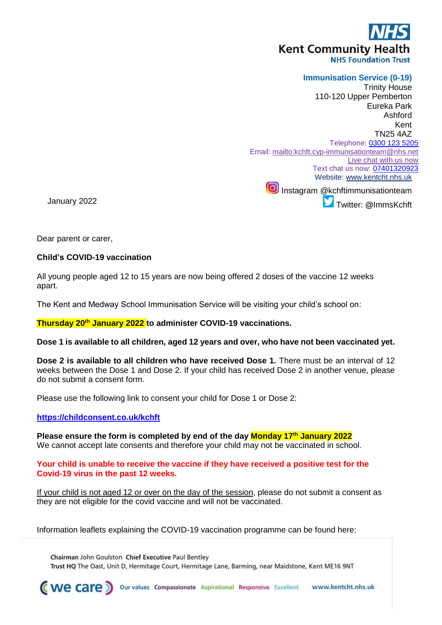# **Kent Community Health**

**NHS Foundation Trust** 

# **Immunisation Service (0-19)**

Trinity House 110-120 Upper Pemberton Eureka Park Ashford Kent TN25 4AZ Telephone: [0300 123 5205](tel:0300%20123%205205) Email:<mailto:kchft.cyp-immunisationteam@nhs.net> [Live chat with us now](https://www.kentcht.nhs.uk/service/immunisation-team/immunisations-live-chat/) Text chat us now: [07401320923](tel:07401320923) Website: [www.kentcht.nhs.uk](http://www.kentcht.nhs.uk/) Instagram @kchftimmunisationteam Twitter: **@**ImmsKchft

January 2022

Dear parent or carer,

#### **Child's COVID-19 vaccination**

All young people aged 12 to 15 years are now being offered 2 doses of the vaccine 12 weeks apart.

The Kent and Medway School Immunisation Service will be visiting your child's school on:

**Thursday 20th January 2022 to administer COVID-19 vaccinations.** 

**Dose 1 is available to all children, aged 12 years and over, who have not been vaccinated yet.**

**Dose 2 is available to all children who have received Dose 1.** There must be an interval of 12 weeks between the Dose 1 and Dose 2. If your child has received Dose 2 in another venue, please do not submit a consent form.

Please use the following link to consent your child for Dose 1 or Dose 2:

#### **<https://childconsent.co.uk/kchft>**

**Please ensure the form is completed by end of the day Monday 17 th January 2022** We cannot accept late consents and therefore your child may not be vaccinated in school.

#### **Your child is unable to receive the vaccine if they have received a positive test for the Covid-19 virus in the past 12 weeks.**

If your child is not aged 12 or over on the day of the session, please do not submit a consent as they are not eligible for the covid vaccine and will not be vaccinated.

Information leaflets explaining the COVID-19 vaccination programme can be found here:

Chairman John Goulston Chief Executive Paul Bentley Trust HQ The Oast, Unit D, Hermitage Court, Hermitage Lane, Barming, near Maidstone, Kent ME16 9NT

(we care)